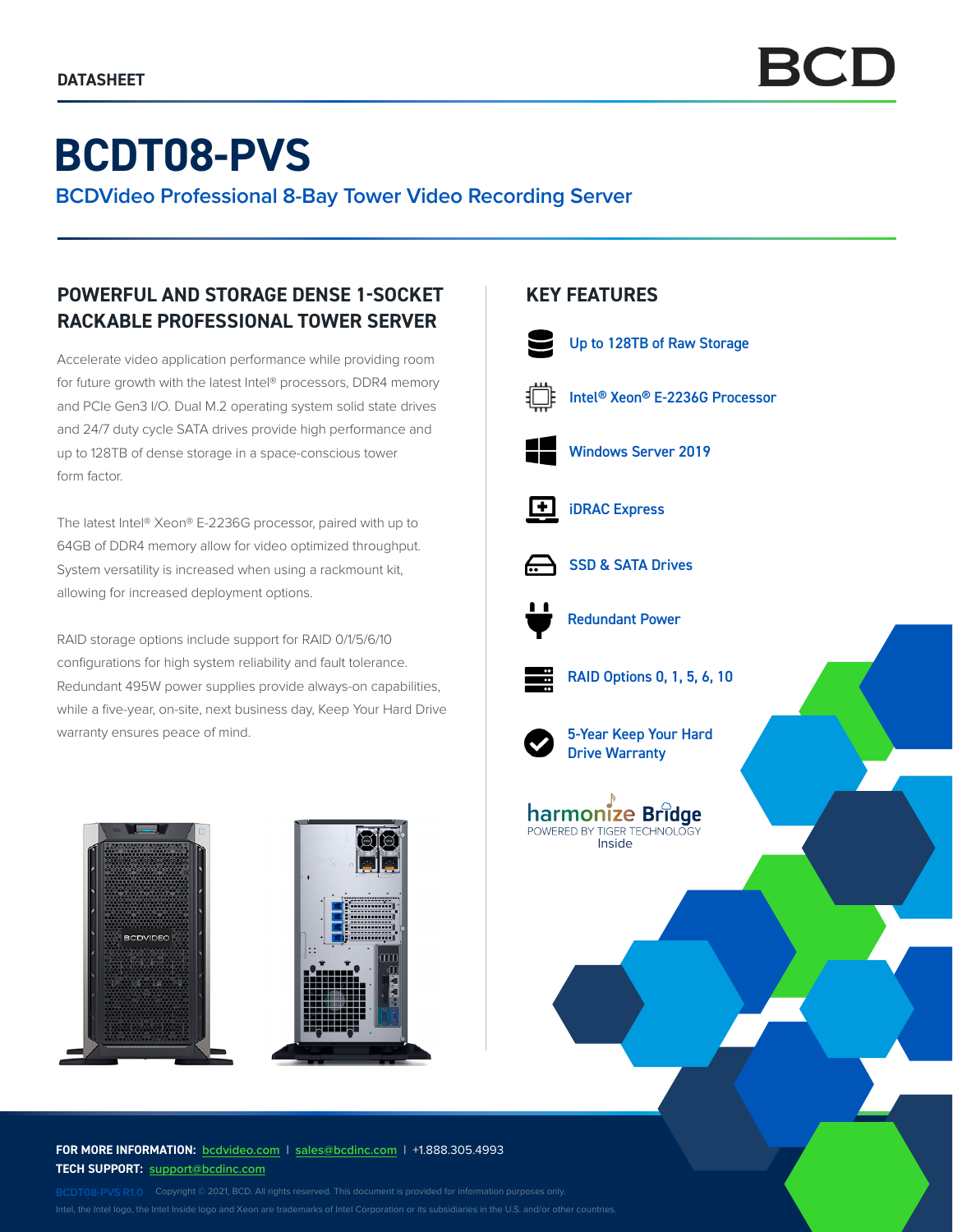# **BCDT08-PVS**

**BCDVideo Professional 8-Bay Tower Video Recording Server**

## **POWERFUL AND STORAGE DENSE 1-SOCKET RACKABLE PROFESSIONAL TOWER SERVER**

Accelerate video application performance while providing room for future growth with the latest Intel® processors, DDR4 memory and PCIe Gen3 I/O. Dual M.2 operating system solid state drives and 24/7 duty cycle SATA drives provide high performance and up to 128TB of dense storage in a space-conscious tower form factor.

The latest Intel® Xeon® E-2236G processor, paired with up to 64GB of DDR4 memory allow for video optimized throughput. System versatility is increased when using a rackmount kit, allowing for increased deployment options.

RAID storage options include support for RAID 0/1/5/6/10 configurations for high system reliability and fault tolerance. Redundant 495W power supplies provide always-on capabilities, while a five-year, on-site, next business day, Keep Your Hard Drive warranty ensures peace of mind.



#### **FOR MORE INFORMATION: bcdvideo.com** | **sales@bcdinc.com** | +1.888.305.4993 **TECH SUPPORT: support@bcdinc.com**

Intel, the Intel logo, the Intel Inside logo and Xeon are trademarks of Intel Corporation or its subsidiaries in the U.S. and/or other countries.

### **KEY FEATURES**